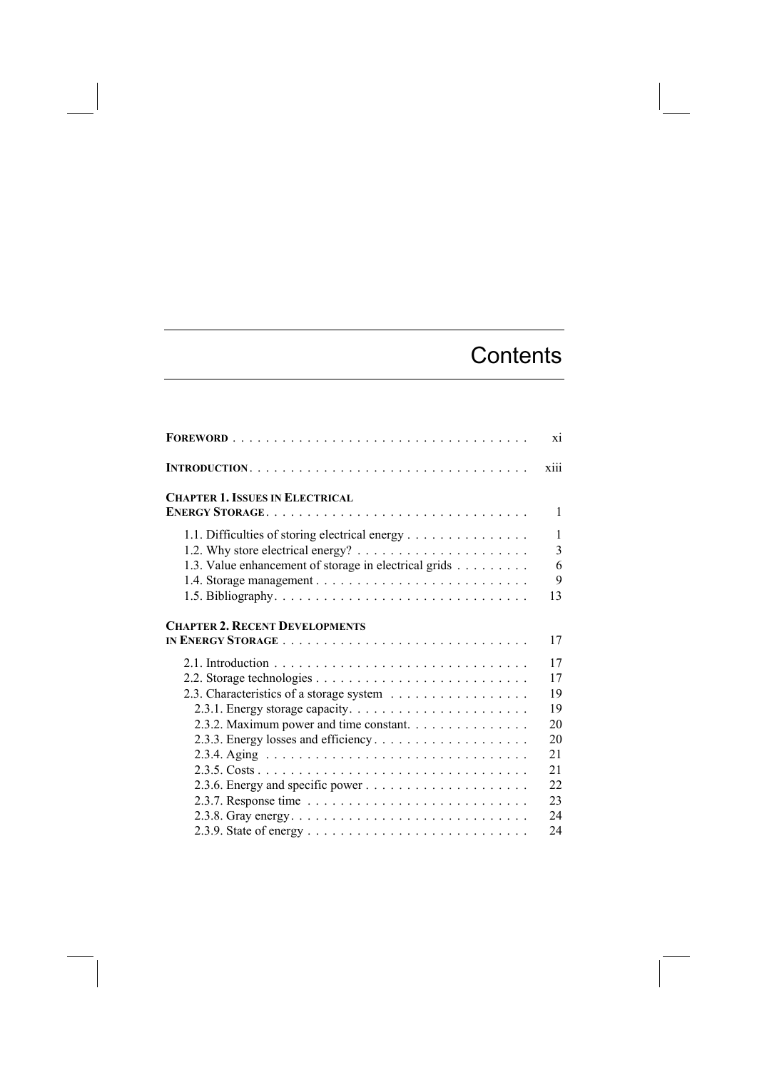## **Contents**

|                                                       | xiii              |
|-------------------------------------------------------|-------------------|
| <b>CHAPTER 1. ISSUES IN ELECTRICAL</b>                | 1                 |
|                                                       |                   |
| 1.1. Difficulties of storing electrical energy        | $\mathbf{1}$<br>3 |
| 1.3. Value enhancement of storage in electrical grids | 6                 |
|                                                       | 9                 |
|                                                       | 13                |
| <b>CHAPTER 2. RECENT DEVELOPMENTS</b>                 |                   |
|                                                       | 17                |
|                                                       | 17                |
|                                                       | 17                |
| 2.3. Characteristics of a storage system              | 19                |
|                                                       | 19                |
| 2.3.2. Maximum power and time constant.               | 20                |
|                                                       | 20                |
|                                                       | 21                |
|                                                       | 21                |
|                                                       | 22                |
|                                                       | 23                |
|                                                       | 24                |
|                                                       | 24                |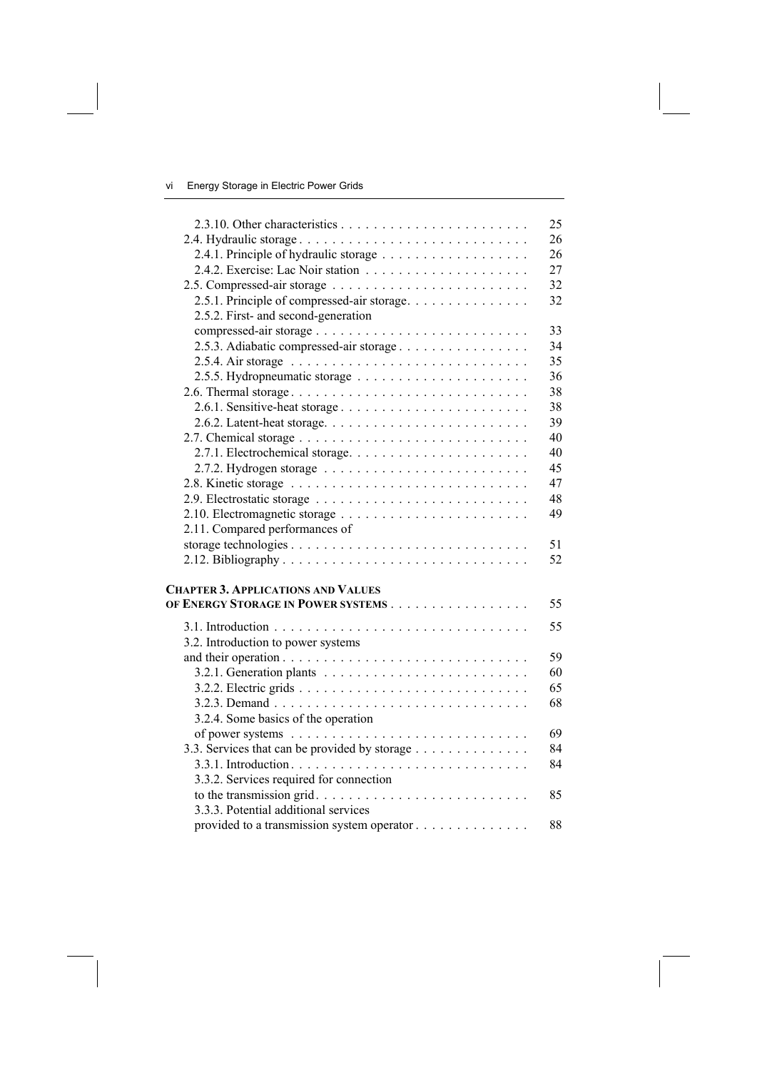|                                               | 25 |
|-----------------------------------------------|----|
| 2.4. Hydraulic storage                        | 26 |
| 2.4.1. Principle of hydraulic storage         | 26 |
|                                               | 27 |
|                                               | 32 |
| 2.5.1. Principle of compressed-air storage    | 32 |
| 2.5.2. First- and second-generation           |    |
|                                               | 33 |
| 2.5.3. Adiabatic compressed-air storage       | 34 |
|                                               | 35 |
|                                               | 36 |
| 2.6. Thermal storage                          | 38 |
|                                               | 38 |
|                                               | 39 |
|                                               | 40 |
|                                               | 40 |
|                                               | 45 |
|                                               | 47 |
|                                               | 48 |
|                                               | 49 |
| 2.11. Compared performances of                |    |
|                                               | 51 |
|                                               | 52 |
|                                               |    |
| <b>CHAPTER 3. APPLICATIONS AND VALUES</b>     |    |
| OF ENERGY STORAGE IN POWER SYSTEMS            | 55 |
|                                               | 55 |
| 3.2. Introduction to power systems            |    |
|                                               | 59 |
|                                               | 60 |
|                                               | 65 |
|                                               | 68 |
| 3.2.4. Some basics of the operation           |    |
|                                               | 69 |
| 3.3. Services that can be provided by storage | 84 |
|                                               | 84 |
|                                               |    |
| 3.3.2. Services required for connection       | 85 |
| 3.3.3. Potential additional services          |    |
|                                               | 88 |
| provided to a transmission system operator    |    |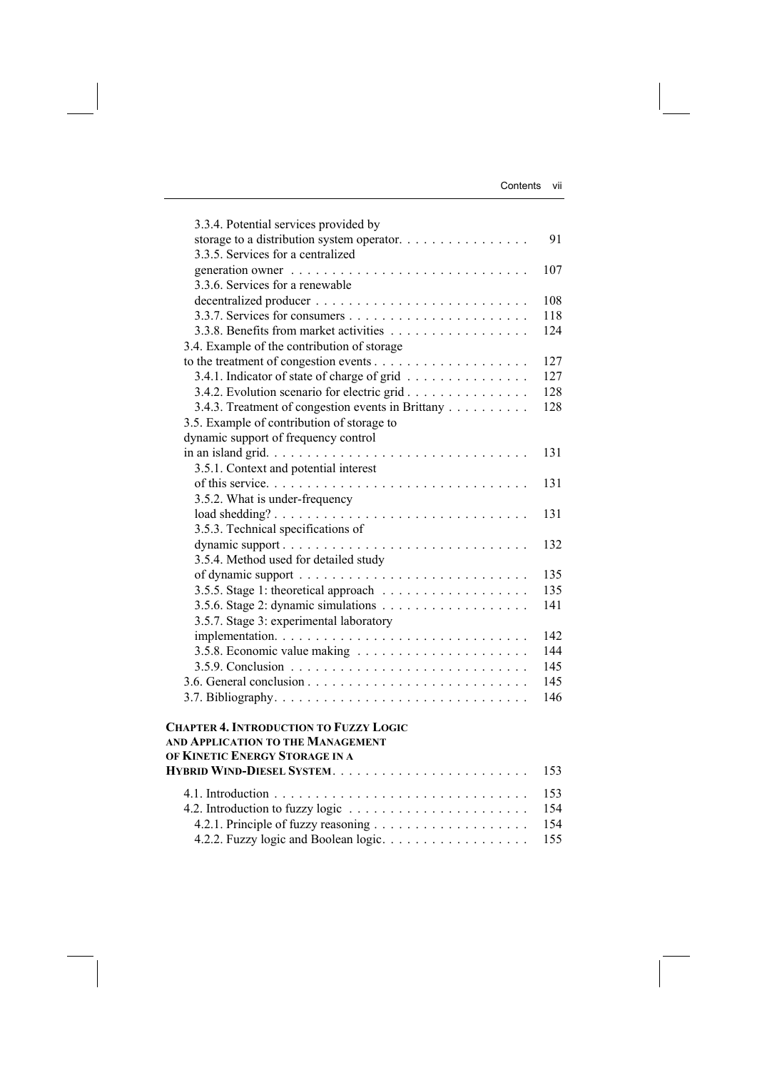| 3.3.4. Potential services provided by                                                                                |     |
|----------------------------------------------------------------------------------------------------------------------|-----|
|                                                                                                                      | 91  |
| 3.3.5. Services for a centralized                                                                                    |     |
|                                                                                                                      | 107 |
| 3.3.6. Services for a renewable                                                                                      |     |
|                                                                                                                      | 108 |
|                                                                                                                      | 118 |
| 3.3.8. Benefits from market activities                                                                               | 124 |
| 3.4. Example of the contribution of storage                                                                          |     |
|                                                                                                                      | 127 |
| 3.4.1. Indicator of state of charge of grid                                                                          | 127 |
| 3.4.2. Evolution scenario for electric grid                                                                          | 128 |
| 3.4.3. Treatment of congestion events in Brittany                                                                    | 128 |
| 3.5. Example of contribution of storage to                                                                           |     |
| dynamic support of frequency control                                                                                 |     |
|                                                                                                                      | 131 |
| 3.5.1. Context and potential interest                                                                                |     |
|                                                                                                                      | 131 |
| 3.5.2. What is under-frequency                                                                                       |     |
|                                                                                                                      | 131 |
| 3.5.3. Technical specifications of                                                                                   |     |
| dynamic support                                                                                                      | 132 |
| 3.5.4. Method used for detailed study                                                                                |     |
|                                                                                                                      | 135 |
|                                                                                                                      | 135 |
| 3.5.6. Stage 2: dynamic simulations $\ldots \ldots \ldots \ldots \ldots \ldots$                                      | 141 |
| 3.5.7. Stage 3: experimental laboratory                                                                              |     |
|                                                                                                                      | 142 |
|                                                                                                                      | 144 |
|                                                                                                                      | 145 |
|                                                                                                                      | 145 |
|                                                                                                                      | 146 |
| <b>CHAPTER 4. INTRODUCTION TO FUZZY LOGIC</b><br>AND APPLICATION TO THE MANAGEMENT<br>OF KINETIC ENERGY STORAGE IN A |     |
|                                                                                                                      | 153 |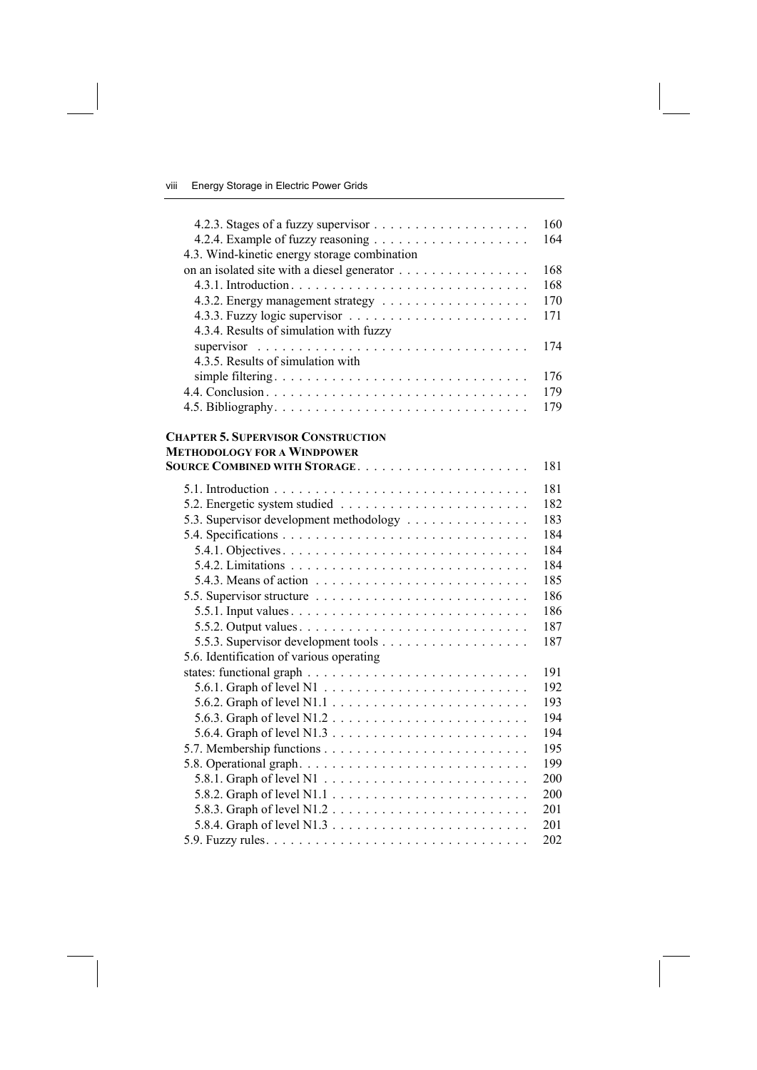|                                                                                           | 160 |
|-------------------------------------------------------------------------------------------|-----|
|                                                                                           | 164 |
| 4.3. Wind-kinetic energy storage combination                                              |     |
| on an isolated site with a diesel generator                                               | 168 |
|                                                                                           | 168 |
|                                                                                           | 170 |
|                                                                                           | 171 |
| 4.3.4. Results of simulation with fuzzy                                                   |     |
| supervisor $\ldots \ldots \ldots \ldots \ldots \ldots \ldots \ldots \ldots \ldots \ldots$ | 174 |
| 4.3.5. Results of simulation with                                                         |     |
|                                                                                           | 176 |
|                                                                                           | 179 |
|                                                                                           | 179 |
|                                                                                           |     |
| <b>CHAPTER 5. SUPERVISOR CONSTRUCTION</b>                                                 |     |
| <b>METHODOLOGY FOR A WINDPOWER</b>                                                        |     |
| <b>SOURCE COMBINED WITH STORAGE</b>                                                       | 181 |
|                                                                                           | 181 |
|                                                                                           | 182 |
| 5.3. Supervisor development methodology                                                   | 183 |
|                                                                                           | 184 |
|                                                                                           | 184 |
|                                                                                           | 184 |
| 5.4.3. Means of action $\ldots \ldots \ldots \ldots \ldots \ldots \ldots \ldots$          | 185 |
|                                                                                           | 186 |
|                                                                                           | 186 |
|                                                                                           | 187 |
|                                                                                           | 187 |
| 5.6. Identification of various operating                                                  |     |
|                                                                                           | 191 |
|                                                                                           | 192 |
|                                                                                           | 193 |
|                                                                                           | 194 |
|                                                                                           | 194 |
|                                                                                           | 195 |
|                                                                                           | 199 |
|                                                                                           | 200 |
|                                                                                           | 200 |
|                                                                                           | 201 |
|                                                                                           | 201 |
|                                                                                           | 202 |
|                                                                                           |     |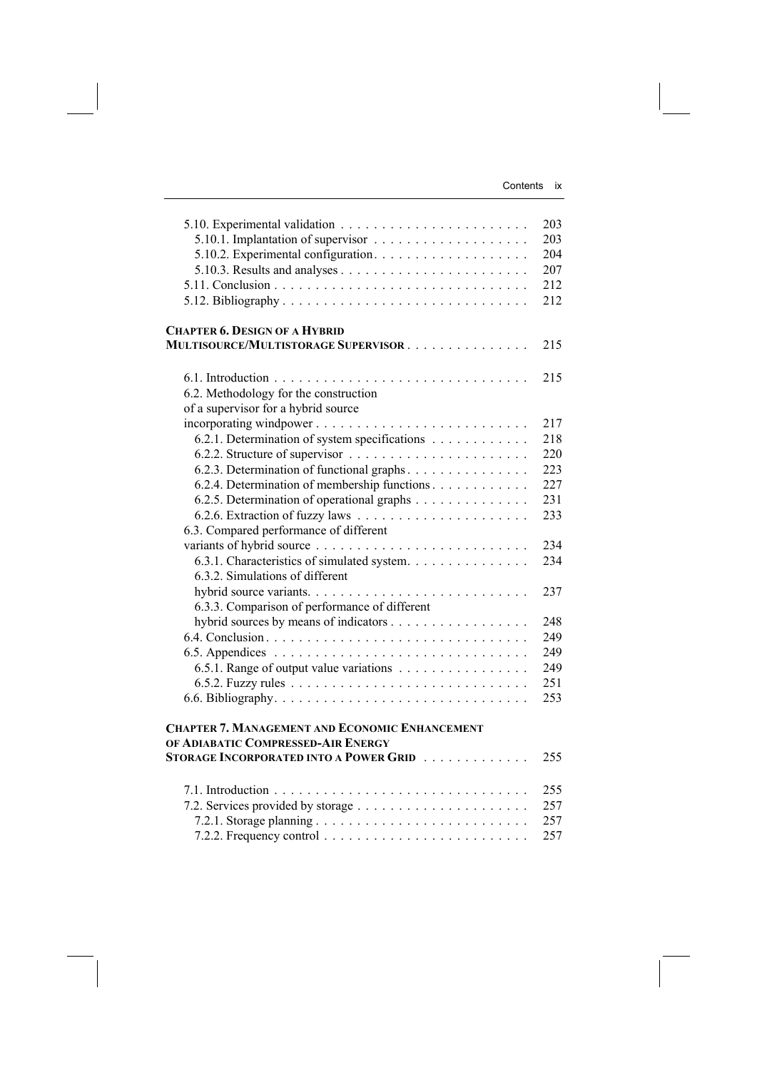|                                                                                                                                                                                                                     | 203<br>203<br>204<br>207<br>212<br>212        |
|---------------------------------------------------------------------------------------------------------------------------------------------------------------------------------------------------------------------|-----------------------------------------------|
| <b>CHAPTER 6. DESIGN OF A HYBRID</b><br><b>MULTISOURCE/MULTISTORAGE SUPERVISOR</b>                                                                                                                                  | 215                                           |
| 6.2. Methodology for the construction<br>of a supervisor for a hybrid source                                                                                                                                        | 215                                           |
| incorporating windpower<br>6.2.1. Determination of system specifications<br>6.2.3. Determination of functional graphs<br>6.2.4. Determination of membership functions<br>6.2.5. Determination of operational graphs | 217<br>218<br>220<br>223<br>227<br>231<br>233 |
| 6.3. Compared performance of different<br>6.3.1. Characteristics of simulated system.<br>6.3.2. Simulations of different                                                                                            | 234<br>234                                    |
| 6.3.3. Comparison of performance of different                                                                                                                                                                       | 237                                           |
| 6.5.1. Range of output value variations                                                                                                                                                                             | 248<br>249<br>249<br>249<br>251<br>253        |
| <b>CHAPTER 7. MANAGEMENT AND ECONOMIC ENHANCEMENT</b><br>OF ADIABATIC COMPRESSED-AIR ENERGY<br><b>STORAGE INCORPORATED INTO A POWER GRID</b>                                                                        | 255                                           |
|                                                                                                                                                                                                                     | 255<br>257<br>257<br>257                      |